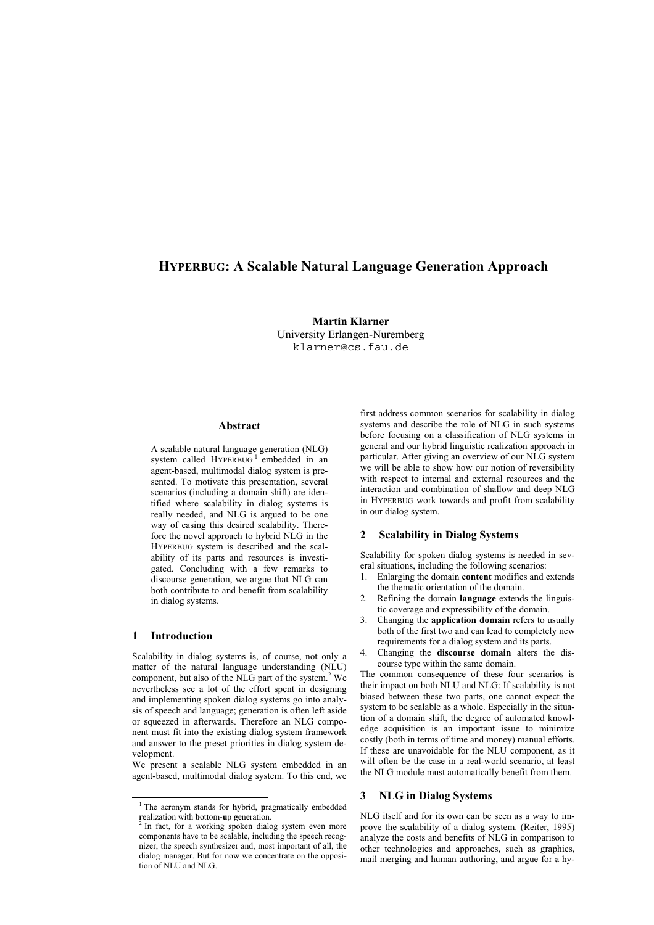# HYPERBUG: A Scalable Natural Language Generation Approach

Martin Klarner University Erlangen-Nuremberg klarner@cs.fau.de

### Abstract

A scalable natural language generation (NLG) system called HYPERBUG<sup>1</sup> embedded in an agent-based, multimodal dialog system is presented. To motivate this presentation, several scenarios (including a domain shift) are identified where scalability in dialog systems is really needed, and NLG is argued to be one way of easing this desired scalability. Therefore the novel approach to hybrid NLG in the HYPERBUG system is described and the scalability of its parts and resources is investigated. Concluding with a few remarks to discourse generation, we argue that NLG can both contribute to and benefit from scalability in dialog systems.

# 1 Introduction

j

Scalability in dialog systems is, of course, not only a matter of the natural language understanding (NLU) component, but also of the NLG part of the system. 2 We nevertheless see a lot of the effort spent in designing and implementing spoken dialog systems go into analysis of speech and language; generation is often left aside or squeezed in afterwards. Therefore an NLG component must fit into the existing dialog system framework and answer to the preset priorities in dialog system development.

We present a scalable NLG system embedded in an agent-based, multimodal dialog system. To this end, we first address common scenarios for scalability in dialog systems and describe the role of NLG in such systems before focusing on a classification of NLG systems in general and our hybrid linguistic realization approach in particular. After giving an overview of our NLG system we will be able to show how our notion of reversibility with respect to internal and external resources and the interaction and combination of shallow and deep NLG in HYPERBUG work towards and profit from scalability in our dialog system.

### 2 Scalability in Dialog Systems

Scalability for spoken dialog systems is needed in several situations, including the following scenarios:

- 1. Enlarging the domain content modifies and extends the thematic orientation of the domain.
- Refining the domain **language** extends the linguistic coverage and expressibility of the domain.
- 3. Changing the application domain refers to usually both of the first two and can lead to completely new requirements for a dialog system and its parts.
- 4. Changing the discourse domain alters the discourse type within the same domain.

The common consequence of these four scenarios is their impact on both NLU and NLG: If scalability is not biased between these two parts, one cannot expect the system to be scalable as a whole. Especially in the situation of a domain shift, the degree of automated knowledge acquisition is an important issue to minimize costly (both in terms of time and money) manual efforts. If these are unavoidable for the NLU component, as it will often be the case in a real-world scenario, at least the NLG module must automatically benefit from them.

### 3 NLG in Dialog Systems

NLG itself and for its own can be seen as a way to improve the scalability of a dialog system. (Reiter, 1995) analyze the costs and benefits of NLG in comparison to other technologies and approaches, such as graphics, mail merging and human authoring, and argue for a hy-

<sup>&</sup>lt;sup>1</sup> The acronym stands for **hy**brid, pragmatically embedded realization with **b**ottom-**u**p generation.<br><sup>2</sup> In fact, for a working spoken dialog system even more

components have to be scalable, including the speech recognizer, the speech synthesizer and, most important of all, the dialog manager. But for now we concentrate on the opposition of NLU and NLG.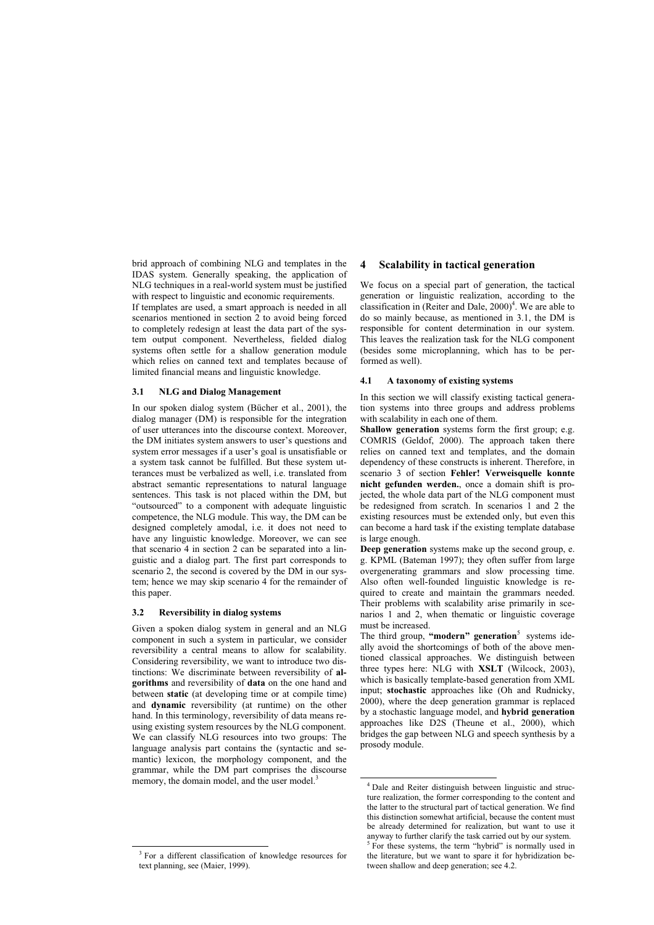brid approach of combining NLG and templates in the IDAS system. Generally speaking, the application of NLG techniques in a real-world system must be justified with respect to linguistic and economic requirements.

If templates are used, a smart approach is needed in all scenarios mentioned in section 2 to avoid being forced to completely redesign at least the data part of the system output component. Nevertheless, fielded dialog systems often settle for a shallow generation module which relies on canned text and templates because of limited financial means and linguistic knowledge.

### 3.1 NLG and Dialog Management

In our spoken dialog system (Bücher et al., 2001), the dialog manager (DM) is responsible for the integration of user utterances into the discourse context. Moreover, the DM initiates system answers to user's questions and system error messages if a user's goal is unsatisfiable or a system task cannot be fulfilled. But these system utterances must be verbalized as well, i.e. translated from abstract semantic representations to natural language sentences. This task is not placed within the DM, but "outsourced" to a component with adequate linguistic competence, the NLG module. This way, the DM can be designed completely amodal, i.e. it does not need to have any linguistic knowledge. Moreover, we can see that scenario 4 in section 2 can be separated into a linguistic and a dialog part. The first part corresponds to scenario 2, the second is covered by the DM in our system; hence we may skip scenario 4 for the remainder of this paper.

### 3.2 Reversibility in dialog systems

Given a spoken dialog system in general and an NLG component in such a system in particular, we consider reversibility a central means to allow for scalability. Considering reversibility, we want to introduce two distinctions: We discriminate between reversibility of algorithms and reversibility of data on the one hand and between static (at developing time or at compile time) and dynamic reversibility (at runtime) on the other hand. In this terminology, reversibility of data means reusing existing system resources by the NLG component. We can classify NLG resources into two groups: The language analysis part contains the (syntactic and semantic) lexicon, the morphology component, and the grammar, while the DM part comprises the discourse memory, the domain model, and the user model.<sup>3</sup>

j

### 4 Scalability in tactical generation

We focus on a special part of generation, the tactical generation or linguistic realization, according to the classification in (Reiter and Dale,  $2000$ )<sup>4</sup>. We are able to do so mainly because, as mentioned in 3.1, the DM is responsible for content determination in our system. This leaves the realization task for the NLG component (besides some microplanning, which has to be performed as well).

#### 4.1 A taxonomy of existing systems

In this section we will classify existing tactical generation systems into three groups and address problems with scalability in each one of them.

Shallow generation systems form the first group: e.g. COMRIS (Geldof, 2000). The approach taken there relies on canned text and templates, and the domain dependency of these constructs is inherent. Therefore, in scenario 3 of section Fehler! Verweisquelle konnte nicht gefunden werden., once a domain shift is projected, the whole data part of the NLG component must be redesigned from scratch. In scenarios 1 and 2 the existing resources must be extended only, but even this can become a hard task if the existing template database is large enough.

Deep generation systems make up the second group, e. g. KPML (Bateman 1997); they often suffer from large overgenerating grammars and slow processing time. Also often well-founded linguistic knowledge is required to create and maintain the grammars needed. Their problems with scalability arise primarily in scenarios 1 and 2, when thematic or linguistic coverage must be increased.

The third group, "modern" generation<sup>5</sup> systems ideally avoid the shortcomings of both of the above mentioned classical approaches. We distinguish between three types here: NLG with XSLT (Wilcock, 2003), which is basically template-based generation from XML input; stochastic approaches like (Oh and Rudnicky, 2000), where the deep generation grammar is replaced by a stochastic language model, and hybrid generation approaches like D2S (Theune et al., 2000), which bridges the gap between NLG and speech synthesis by a prosody module.

 $\overline{a}$ 

<sup>&</sup>lt;sup>3</sup> For a different classification of knowledge resources for text planning, see (Maier, 1999).

<sup>4</sup> Dale and Reiter distinguish between linguistic and structure realization, the former corresponding to the content and the latter to the structural part of tactical generation. We find this distinction somewhat artificial, because the content must be already determined for realization, but want to use it anyway to further clarify the task carried out by our system. <sup>5</sup> For these systems, the term "hybrid" is normally used in the literature, but we want to spare it for hybridization between shallow and deep generation; see 4.2.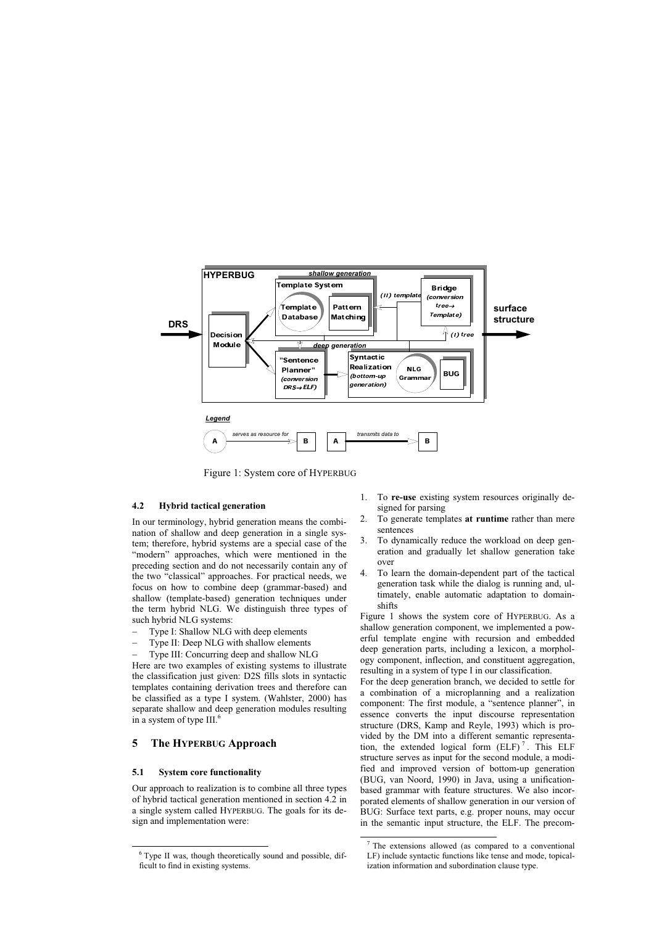

 $\overline{a}$ 

Figure 1: System core of HYPERBUG

#### 4.2 Hybrid tactical generation

In our terminology, hybrid generation means the combination of shallow and deep generation in a single system; therefore, hybrid systems are a special case of the "modern" approaches, which were mentioned in the preceding section and do not necessarily contain any of the two "classical" approaches. For practical needs, we focus on how to combine deep (grammar-based) and shallow (template-based) generation techniques under the term hybrid NLG. We distinguish three types of such hybrid NLG systems:

- Type I: Shallow NLG with deep elements
- Type II: Deep NLG with shallow elements
- Type III: Concurring deep and shallow NLG

Here are two examples of existing systems to illustrate the classification just given: D2S fills slots in syntactic templates containing derivation trees and therefore can be classified as a type I system. (Wahlster, 2000) has separate shallow and deep generation modules resulting in a system of type III.<sup>6</sup>

# 5 The HYPERBUG Approach

#### 5.1 System core functionality

j

Our approach to realization is to combine all three types of hybrid tactical generation mentioned in section 4.2 in a single system called HYPERBUG. The goals for its design and implementation were:

- 1. To re-use existing system resources originally designed for parsing
- 2. To generate templates at runtime rather than mere sentences
- 3. To dynamically reduce the workload on deep generation and gradually let shallow generation take over
- 4. To learn the domain-dependent part of the tactical generation task while the dialog is running and, ultimately, enable automatic adaptation to domainshifts

Figure 1 shows the system core of HYPERBUG. As a shallow generation component, we implemented a powerful template engine with recursion and embedded deep generation parts, including a lexicon, a morphology component, inflection, and constituent aggregation, resulting in a system of type I in our classification.

For the deep generation branch, we decided to settle for a combination of a microplanning and a realization component: The first module, a "sentence planner", in essence converts the input discourse representation structure (DRS, Kamp and Reyle, 1993) which is provided by the DM into a different semantic representation, the extended logical form  $(ELF)^7$ . This ELF structure serves as input for the second module, a modified and improved version of bottom-up generation (BUG, van Noord, 1990) in Java, using a unificationbased grammar with feature structures. We also incorporated elements of shallow generation in our version of BUG: Surface text parts, e.g. proper nouns, may occur in the semantic input structure, the ELF. The precom-

<sup>6</sup> Type II was, though theoretically sound and possible, difficult to find in existing systems.

The extensions allowed (as compared to a conventional LF) include syntactic functions like tense and mode, topicalization information and subordination clause type.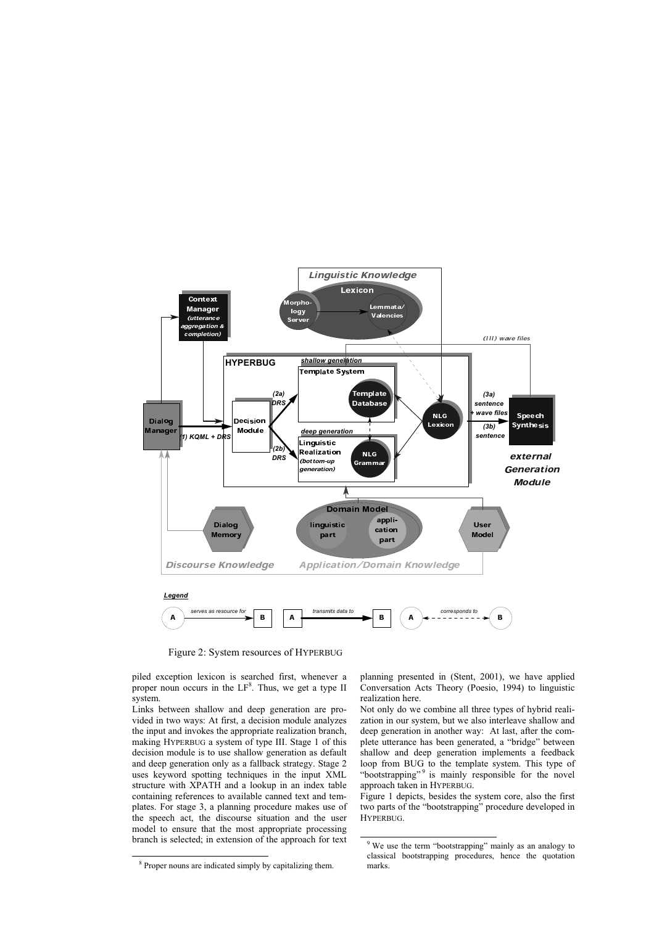

 $\overline{a}$ 

Figure 2: System resources of HYPERBUG

piled exception lexicon is searched first, whenever a proper noun occurs in the  $LF<sup>8</sup>$ . Thus, we get a type II system.

Links between shallow and deep generation are provided in two ways: At first, a decision module analyzes the input and invokes the appropriate realization branch, making HYPERBUG a system of type III. Stage 1 of this decision module is to use shallow generation as default and deep generation only as a fallback strategy. Stage 2 uses keyword spotting techniques in the input XML structure with XPATH and a lookup in an index table containing references to available canned text and templates. For stage 3, a planning procedure makes use of the speech act, the discourse situation and the user model to ensure that the most appropriate processing branch is selected; in extension of the approach for text

j

planning presented in (Stent, 2001), we have applied Conversation Acts Theory (Poesio, 1994) to linguistic realization here.

Not only do we combine all three types of hybrid realization in our system, but we also interleave shallow and deep generation in another way: At last, after the complete utterance has been generated, a "bridge" between shallow and deep generation implements a feedback loop from BUG to the template system. This type of "bootstrapping"<sup>9</sup> is mainly responsible for the novel approach taken in HYPERBUG.

Figure 1 depicts, besides the system core, also the first two parts of the "bootstrapping" procedure developed in HYPERBUG.

<sup>&</sup>lt;sup>8</sup> Proper nouns are indicated simply by capitalizing them.

<sup>&</sup>lt;sup>9</sup> We use the term "bootstrapping" mainly as an analogy to classical bootstrapping procedures, hence the quotation marks.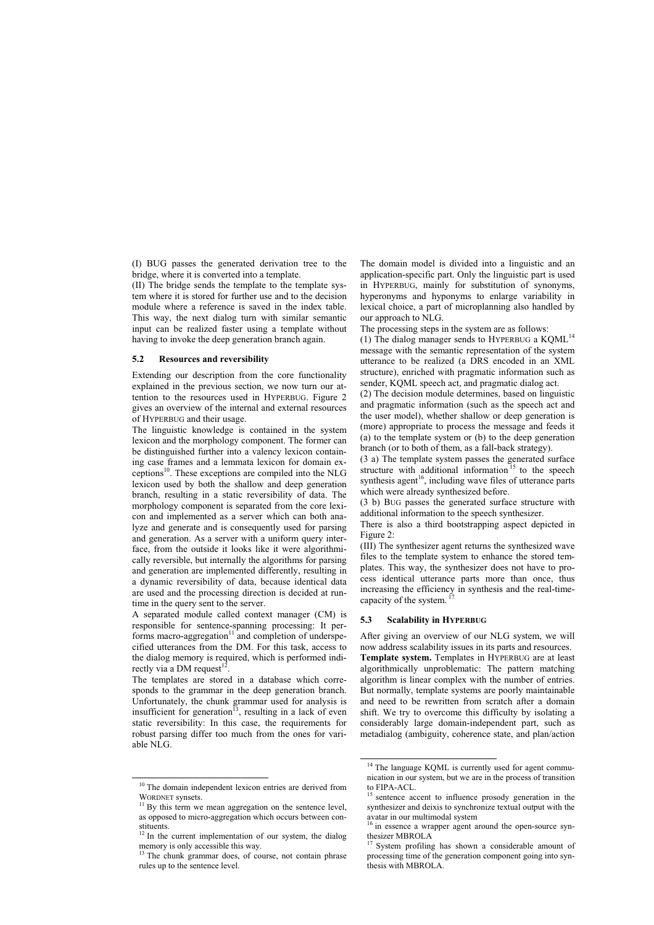(I) BUG passes the generated derivation tree to the bridge, where it is converted into a template.

(II) The bridge sends the template to the template system where it is stored for further use and to the decision module where a reference is saved in the index table. This way, the next dialog turn with similar semantic input can be realized faster using a template without having to invoke the deep generation branch again.

#### 5.2 Resources and reversibility

Extending our description from the core functionality explained in the previous section, we now turn our attention to the resources used in HYPERBUG. Figure 2 gives an overview of the internal and external resources of HYPERBUG and their usage.

The linguistic knowledge is contained in the system lexicon and the morphology component. The former can be distinguished further into a valency lexicon containing case frames and a lemmata lexicon for domain exceptions <sup>10</sup>. These exceptions are compiled into the NLG lexicon used by both the shallow and deep generation branch, resulting in a static reversibility of data. The morphology component is separated from the core lexicon and implemented as a server which can both analyze and generate and is consequently used for parsing and generation. As a server with a uniform query interface, from the outside it looks like it were algorithmically reversible, but internally the algorithms for parsing and generation are implemented differently, resulting in a dynamic reversibility of data, because identical data are used and the processing direction is decided at runtime in the query sent to the server.

A separated module called context manager (CM) is responsible for sentence-spanning processing: It performs macro-aggregation<sup>11</sup> and completion of underspecified utterances from the DM. For this task, access to the dialog memory is required, which is performed indirectly via a DM request $<sup>1</sup>$ </sup> .

The templates are stored in a database which corresponds to the grammar in the deep generation branch. Unfortunately, the chunk grammar used for analysis is insufficient for generation<sup>13</sup>, resulting in a lack of even static reversibility: In this case, the requirements for robust parsing differ too much from the ones for variable NLG.

j

The domain model is divided into a linguistic and an application-specific part. Only the linguistic part is used in HYPERBUG, mainly for substitution of synonyms, hyperonyms and hyponyms to enlarge variability in lexical choice, a part of microplanning also handled by our approach to NLG.

The processing steps in the system are as follows:

(1) The dialog manager sends to HYPERBUG a KQML<sup>14</sup> message with the semantic representation of the system utterance to be realized (a DRS encoded in an XML structure), enriched with pragmatic information such as sender, KQML speech act, and pragmatic dialog act.

(2) The decision module determines, based on linguistic and pragmatic information (such as the speech act and the user model), whether shallow or deep generation is (more) appropriate to process the message and feeds it (a) to the template system or (b) to the deep generation branch (or to both of them, as a fall-back strategy).

(3 a) The template system passes the generated surface structure with additional information<sup>15</sup> to the speech synthesis agent<sup>16</sup>, including wave files of utterance parts which were already synthesized before.

(3 b) BUG passes the generated surface structure with additional information to the speech synthesizer.

There is also a third bootstrapping aspect depicted in Figure 2:

(III) The synthesizer agent returns the synthesized wave files to the template system to enhance the stored templates. This way, the synthesizer does not have to process identical utterance parts more than once, thus increasing the efficiency in synthesis and the real-timecapacity of the system. 17

#### 5.3 Scalability in HYPERBUG

 $\overline{a}$ 

After giving an overview of our NLG system, we will now address scalability issues in its parts and resources. Template system. Templates in HYPERBUG are at least algorithmically unproblematic: The pattern matching algorithm is linear complex with the number of entries. But normally, template systems are poorly maintainable and need to be rewritten from scratch after a domain shift. We try to overcome this difficulty by isolating a considerably large domain-independent part, such as metadialog (ambiguity, coherence state, and plan/action

<sup>&</sup>lt;sup>10</sup> The domain independent lexicon entries are derived from WORDNET synsets.

 $11$  By this term we mean aggregation on the sentence level, as opposed to micro-aggregation which occurs between constituents.<br><sup>12</sup> In the current implementation of our system, the dialog

memory is only accessible this way.<br><sup>13</sup> The chunk grammar does, of course, not contain phrase

rules up to the sentence level.

<sup>&</sup>lt;sup>14</sup> The language KQML is currently used for agent communication in our system, but we are in the process of transition to  $FIPA-ACL$ .

sentence accent to influence prosody generation in the synthesizer and deixis to synchronize textual output with the avatar in our multimodal system

 $\frac{1}{2}$  in essence a wrapper agent around the open-source synthesizer MBROLA

System profiling has shown a considerable amount of processing time of the generation component going into synthesis with MBROLA.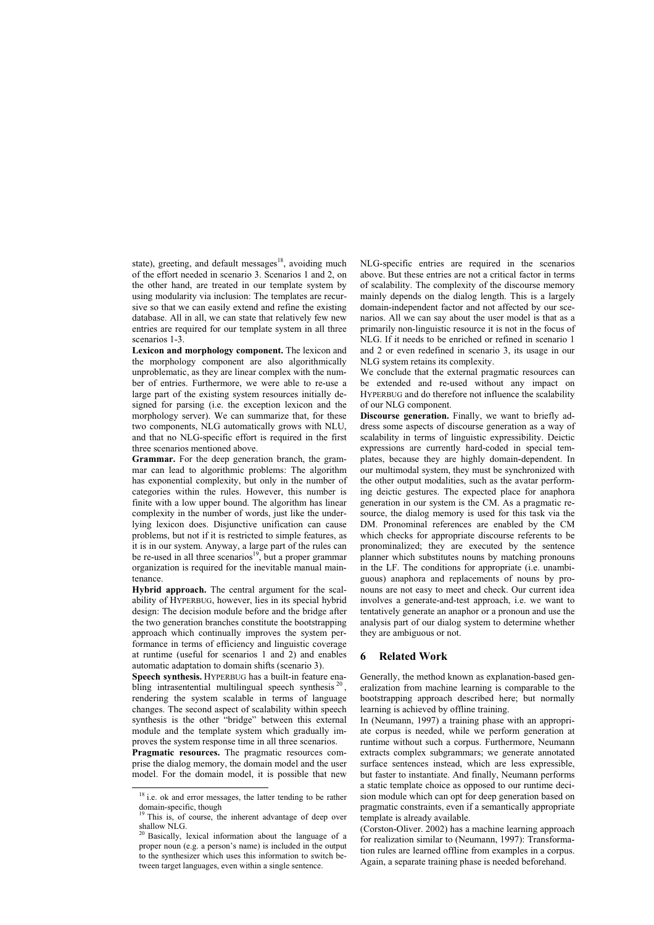state), greeting, and default messages<sup>18</sup>, avoiding much of the effort needed in scenario 3. Scenarios 1 and 2, on the other hand, are treated in our template system by using modularity via inclusion: The templates are recursive so that we can easily extend and refine the existing database. All in all, we can state that relatively few new entries are required for our template system in all three scenarios 1-3.

Lexicon and morphology component. The lexicon and the morphology component are also algorithmically unproblematic, as they are linear complex with the number of entries. Furthermore, we were able to re-use a large part of the existing system resources initially designed for parsing (i.e. the exception lexicon and the morphology server). We can summarize that, for these two components, NLG automatically grows with NLU, and that no NLG-specific effort is required in the first three scenarios mentioned above.

Grammar. For the deep generation branch, the grammar can lead to algorithmic problems: The algorithm has exponential complexity, but only in the number of categories within the rules. However, this number is finite with a low upper bound. The algorithm has linear complexity in the number of words, just like the underlying lexicon does. Disjunctive unification can cause problems, but not if it is restricted to simple features, as it is in our system. Anyway, a large part of the rules can be re-used in all three scenarios<sup>19</sup>, but a proper grammar organization is required for the inevitable manual maintenance.

Hybrid approach. The central argument for the scalability of HYPERBUG, however, lies in its special hybrid design: The decision module before and the bridge after the two generation branches constitute the bootstrapping approach which continually improves the system performance in terms of efficiency and linguistic coverage at runtime (useful for scenarios 1 and 2) and enables automatic adaptation to domain shifts (scenario 3).

Speech synthesis. HYPERBUG has a built-in feature enabling intrasentential multilingual speech synthesis<sup>20</sup>, rendering the system scalable in terms of language changes. The second aspect of scalability within speech synthesis is the other "bridge" between this external module and the template system which gradually improves the system response time in all three scenarios.

Pragmatic resources. The pragmatic resources comprise the dialog memory, the domain model and the user model. For the domain model, it is possible that new

j

NLG-specific entries are required in the scenarios above. But these entries are not a critical factor in terms of scalability. The complexity of the discourse memory mainly depends on the dialog length. This is a largely domain-independent factor and not affected by our scenarios. All we can say about the user model is that as a primarily non-linguistic resource it is not in the focus of NLG. If it needs to be enriched or refined in scenario 1 and 2 or even redefined in scenario 3, its usage in our NLG system retains its complexity.

We conclude that the external pragmatic resources can be extended and re-used without any impact on HYPERBUG and do therefore not influence the scalability of our NLG component.

Discourse generation. Finally, we want to briefly address some aspects of discourse generation as a way of scalability in terms of linguistic expressibility. Deictic expressions are currently hard-coded in special templates, because they are highly domain-dependent. In our multimodal system, they must be synchronized with the other output modalities, such as the avatar performing deictic gestures. The expected place for anaphora generation in our system is the CM. As a pragmatic resource, the dialog memory is used for this task via the DM. Pronominal references are enabled by the CM which checks for appropriate discourse referents to be pronominalized; they are executed by the sentence planner which substitutes nouns by matching pronouns in the LF. The conditions for appropriate (i.e. unambiguous) anaphora and replacements of nouns by pronouns are not easy to meet and check. Our current idea involves a generate-and-test approach, i.e. we want to tentatively generate an anaphor or a pronoun and use the analysis part of our dialog system to determine whether they are ambiguous or not.

#### 6 Related Work

Generally, the method known as explanation-based generalization from machine learning is comparable to the bootstrapping approach described here; but normally learning is achieved by offline training.

In (Neumann, 1997) a training phase with an appropriate corpus is needed, while we perform generation at runtime without such a corpus. Furthermore, Neumann extracts complex subgrammars; we generate annotated surface sentences instead, which are less expressible, but faster to instantiate. And finally, Neumann performs a static template choice as opposed to our runtime decision module which can opt for deep generation based on pragmatic constraints, even if a semantically appropriate template is already available.

(Corston-Oliver. 2002) has a machine learning approach for realization similar to (Neumann, 1997): Transformation rules are learned offline from examples in a corpus. Again, a separate training phase is needed beforehand.

<sup>&</sup>lt;sup>18</sup> i.e. ok and error messages, the latter tending to be rather domain-specific, though

This is, of course, the inherent advantage of deep over shallow NLG.

<sup>&</sup>lt;sup>20</sup> Basically, lexical information about the language of a proper noun (e.g. a person's name) is included in the output to the synthesizer which uses this information to switch between target languages, even within a single sentence.